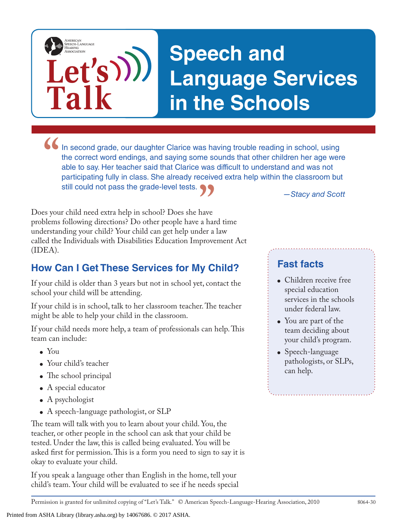## **Speech and Language Services in the Schools**

In second grade, our daughter Clarice was having trouble reading in school, using the correct word endings, and saying some sounds that other children her age wer able to say. Her teacher said that Clarice was difficult to the correct word endings, and saying some sounds that other children her age were able to say. Her teacher said that Clarice was difficult to understand and was not participating fully in class. She already received extra help within the classroom but still could not pass the grade-level tests.

**—Stacy and Scott**<br>have<br>a hard time<br>der a law Does your child need extra help in school? Does she have problems following directions? Do other people have a hard time understanding your child? Your child can get help under a law called the Individuals with Disabilities Education Improvement Act (IDEA).

**Let's**

**Talk**

AMERICAN<br>SPEECH-LANGUAGE-<br>HEARING<br>ASSOCIATION

## **How Can I Get These Services for My Child?**

If your child is older than 3 years but not in school yet, contact the school your child will be attending.

If your child is in school, talk to her classroom teacher. The teacher might be able to help your child in the classroom.

If your child needs more help, a team of professionals can help. This team can include:

- You
- Your child's teacher
- The school principal
- A special educator
- $\bullet$  A psychologist
- A speech-language pathologist, or SLP

The team will talk with you to learn about your child. You, the teacher, or other people in the school can ask that your child be tested. Under the law, this is called being evaluated. You will be asked first for permission. This is a form you need to sign to say it is okay to evaluate your child.

If you speak a language other than English in the home, tell your child's team. Your child will be evaluated to see if he needs special **Fast facts**

- Children receive free special education services in the schools under federal law.
- You are part of the team deciding about your child's program.
- Speech-language pathologists, or SLPs, can help.

Permission is granted for unlimited copying of "Let's Talk." © American Speech-Language-Hearing Association, 2010 8064-30